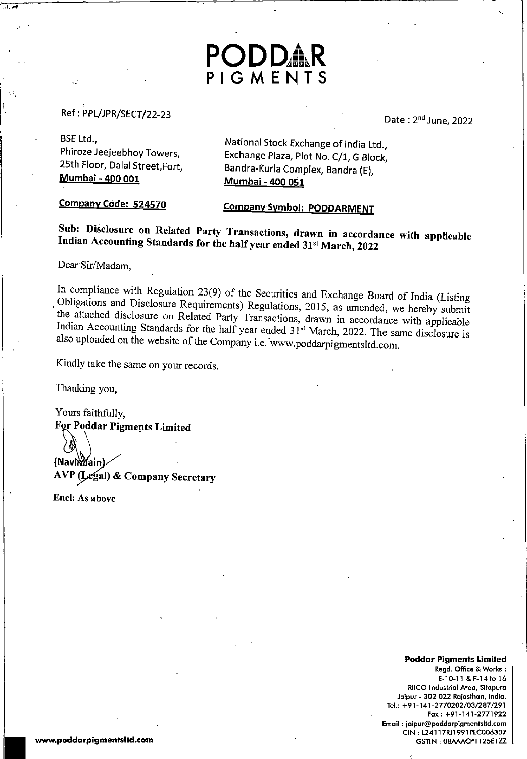### $P = \frac{1}{2}$

date 200 days and 200 days are a series of the 200 days and 200 days are a series of the 200 days are a series

June, <sup>2022</sup>

**BSE** Ltd., Phiroze Jeejeebhoy Towers, Jeejeebhoy Towers, 25th Floor, Dalal Mumbai -400 <sup>001</sup>

National Stock Exchange of India Ltd  $\mathcal{L}$  Plaza, Plaza, Plaza, Plaza, Block, Block, Block, Block, Block, Block, Block, Block, Block, Block, Block, Block, Block, Block, Block, Block, Block, Block, Block, Block, Block, Block, Block, Block, Block, Block, Bl Bandra-Kurla Complex, Bandra Mumbai <sup>400</sup> <sup>051</sup>

Company Code: 524570 Code: 524570 Code: 524570 Code: 524570 Code: 524570 Code: 524570 Code: 524570 Code: 524570

### Company Symbols and Department.

Indian Accounting Standards for the half year ended 31°! March, <sup>2022</sup> Indian Accounting Standards for the helf-

ODDA

PIGMENTS

Dear Sir/Madam,

 $I_{\text{inert}}$  compliments with Regulation 23(9) of the Securities and Exchange Board of India (L) Congations and Disclosure Requirements) Regulations, 2015, as amended, we hereby submit the attached disclosure on Related Party Transactions, drawn in accordance with applicable Indian Accounting Standards for the half year ended 31<sup>st</sup> March, 2022. The same disclosure is 1 also also up the website of the Company i.e. www.poddarpigmentsltd.com.

Kindly take the same on your records.

Thanking

Yours faithfully, faithfully, the contract of the contract of the contract of the contract of the contract of the contract of the contract of the contract of the contract of the contract of the contract of the contract of the contract of th  $\sim$  Poster Associate Limited

<u>In the second second and the second second second in the second second second in the second second second in the second second second in the second second second in the second second second second in the second second sec</u> (NavikWain  $\mathcal{L}_{\mathcal{P}}$  (Sec.) so company secretary

Enel: As above

#### Poddar Pigments Limited

Regd. Office & Works: E-10-11 & F-14 to 16 **RIICO Industrial Area, Sitapura** Areo, Sitapura Jaipur <sup>302</sup> <sup>022</sup> Rojasthan, India. Tel.: +91-141-2770202/03/287/291  $Fax: +91-141-2771922$ Email: jaipur@poddarpigmentsitd.com jaipur@poddarpigmentsitd.com CIN L24117RJ1991PLC117RJ1991PLC117RJ1991PLC117RJ1991PLC117RJ1991PLC117RJ1991PLC117RJ1991PLC117RJ1991PLC117RJ1991PLC GSTIN: 08AAACP1125E1ZZ

ww.poddarpigmentsitd.com/international/international/international/international/international/international/i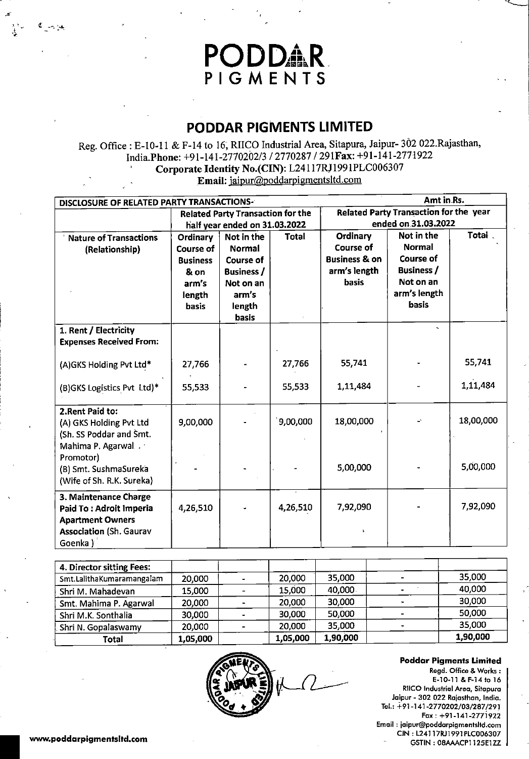## **PODDAR**<br>PIGMENTS

## PODDAR PIGMENTS LINITED

Reg. Office : E-10-11 & F-14 to 16, RIICO Industrial Area, Sitapura, Jaipur- 302 022.Rajasthan, India.Phone: +91-141-2770202/3 / 2770287 / 291 Fax: +91-141-2771922 Corporate Identity No.(CIN): L24117RJ1991PLC006307

Email: jaipur@poddarpigmentsltd.com

| Amt in Rs.<br>DISCLOSURE OF RELATED PARTY TRANSACTIONS-                                                                  |                                                                                     |                                                                                                               |              |                                                                                          |                                                                                                            |           |
|--------------------------------------------------------------------------------------------------------------------------|-------------------------------------------------------------------------------------|---------------------------------------------------------------------------------------------------------------|--------------|------------------------------------------------------------------------------------------|------------------------------------------------------------------------------------------------------------|-----------|
|                                                                                                                          |                                                                                     | <b>Related Party Transaction for the</b>                                                                      |              | Related Party Transaction for the year                                                   |                                                                                                            |           |
|                                                                                                                          | half year ended on 31.03.2022                                                       |                                                                                                               |              | ended on 31.03.2022<br>Total                                                             |                                                                                                            |           |
| <b>Nature of Transactions</b><br>(Relationship)                                                                          | Ordinary<br>Course of<br><b>Business</b><br>& on<br>arm's<br>length<br><b>basis</b> | Not in the<br><b>Normal</b><br>Course of<br><b>Business</b> /<br>Not on an<br>arm's<br>length<br><b>basis</b> | <b>Total</b> | Ordinary<br><b>Course of</b><br><b>Business &amp; on</b><br>arm's length<br><b>basis</b> | Not in the<br><b>Normal</b><br><b>Course of</b><br><b>Business /</b><br>Not on an<br>arm's length<br>basis |           |
| 1. Rent / Electricity<br><b>Expenses Received From:</b>                                                                  |                                                                                     |                                                                                                               |              |                                                                                          |                                                                                                            |           |
| (A)GKS Holding Pvt Ltd*                                                                                                  | 27,766                                                                              |                                                                                                               | 27,766       | 55,741                                                                                   |                                                                                                            | 55,741    |
| (B)GKS Logistics Pvt Ltd)*                                                                                               | 55,533                                                                              |                                                                                                               | 55,533       | 1,11,484                                                                                 |                                                                                                            | 1,11,484  |
| 2. Rent Paid to:<br>(A) GKS Holding Pvt Ltd<br>(Sh. SS Poddar and Smt.                                                   | 9,00,000                                                                            |                                                                                                               | 9,00,000     | 18,00,000                                                                                | ÷,                                                                                                         | 18,00,000 |
| Mahima P. Agarwal<br>Promotor)<br>(B) Smt. SushmaSureka<br>(Wife of Sh. R.K. Sureka)                                     |                                                                                     |                                                                                                               |              | 5,00,000                                                                                 |                                                                                                            | 5,00,000  |
| 3. Maintenance Charge<br>Paid To: Adroit Imperia<br><b>Apartment Owners</b><br><b>Association (Sh. Gaurav</b><br>Goenka) | 4,26,510                                                                            |                                                                                                               | 4,26,510     | 7,92,090                                                                                 |                                                                                                            | 7,92,090  |

| 4. Director sitting Fees: |          |                |          |          |          |
|---------------------------|----------|----------------|----------|----------|----------|
| Smt.LalithaKumaramangalam | 20,000   |                | 20,000   | 35,000   | 35,000   |
| Shri M. Mahadevan         | 15,000   | $\sim$         | 15,000   | 40,000   | 40,000   |
| Smt. Mahima P. Agarwal    | 20,000   |                | 20,000   | 30,000   | 30,000   |
| Shri M.K. Sonthalia       | 30,000   |                | 30,000   | 50,000   | 50,000   |
| Shri N. Gopalaswamy       | 20,000   | $\blacksquare$ | 20,000   | 35,000   | 35,000   |
| Total                     | 1,05,000 |                | 1,05,000 | 1,90,000 | 1,90,000 |



GSTIN 08AAACP1.125E1ZZ



Poddar Pigments Limited Regd. Office Works E-10-11 F-14 to <sup>16</sup> riico in communication and Jaipur - 302 022 Rajasthan, India.  $\parallel$ Tel.: +91-141 -2770202/03/287/291 Fox +91-141-2771922 Email: jaipur@poddarpiamentsltd.com jaipur@poddarpigmentsitd.com CIN 1L24117R)1991PLC0068307